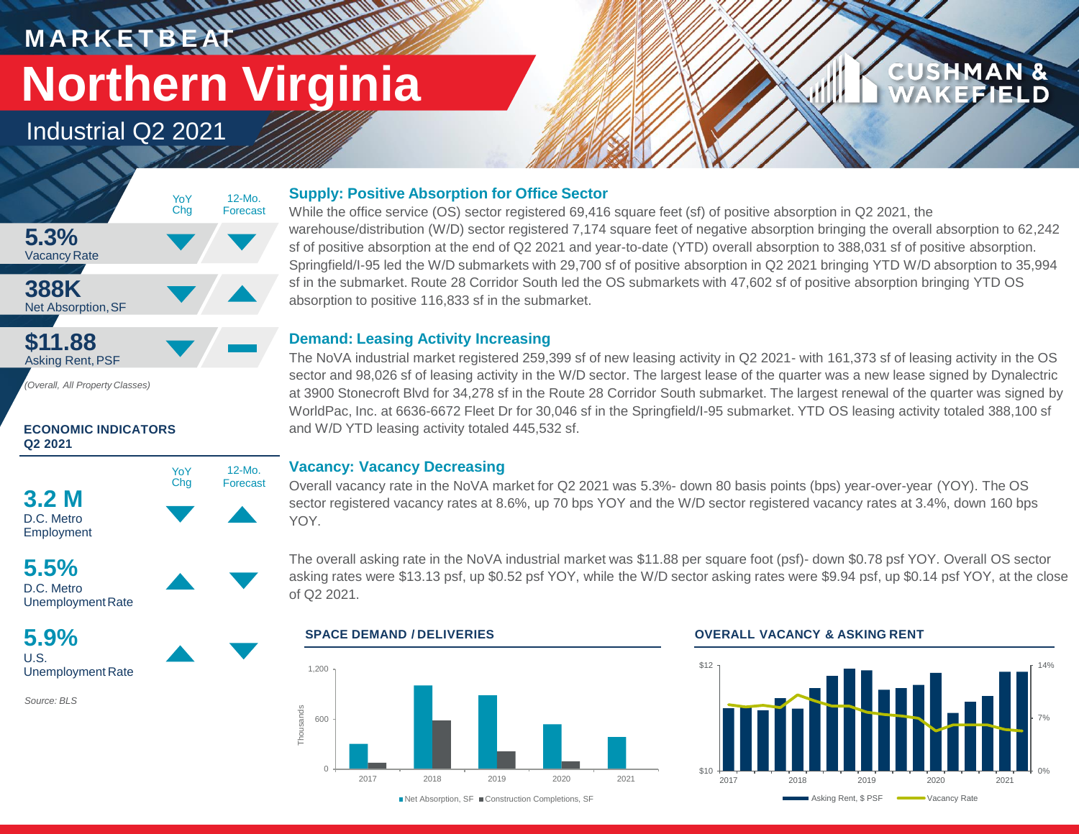# **M A R K E T B E AT Northern Virginia**

**WATER** 

12-Mo. Forecast

Industrial Q2 2021



*(Overall, All Property Classes)*

### **ECONOMIC INDICATORS Q2 2021**





UnemploymentRate

**5.9%** U.S. Unemployment Rate

*Source: BLS*

### **Supply: Positive Absorption for Office Sector**

While the office service (OS) sector registered 69,416 square feet (sf) of positive absorption in Q2 2021, the warehouse/distribution (W/D) sector registered 7,174 square feet of negative absorption bringing the overall absorption to 62,242 sf of positive absorption at the end of Q2 2021 and year-to-date (YTD) overall absorption to 388,031 sf of positive absorption. Springfield/I-95 led the W/D submarkets with 29,700 sf of positive absorption in Q2 2021 bringing YTD W/D absorption to 35,994 sf in the submarket. Route 28 Corridor South led the OS submarkets with 47,602 sf of positive absorption bringing YTD OS absorption to positive 116,833 sf in the submarket.

### **Demand: Leasing Activity Increasing**

The NoVA industrial market registered 259,399 sf of new leasing activity in Q2 2021- with 161,373 sf of leasing activity in the OS sector and 98,026 sf of leasing activity in the W/D sector. The largest lease of the quarter was a new lease signed by Dynalectric at 3900 Stonecroft Blvd for 34,278 sf in the Route 28 Corridor South submarket. The largest renewal of the quarter was signed by WorldPac, Inc. at 6636-6672 Fleet Dr for 30,046 sf in the Springfield/I-95 submarket. YTD OS leasing activity totaled 388,100 sf and W/D YTD leasing activity totaled 445,532 sf.

### **Vacancy: Vacancy Decreasing**

Overall vacancy rate in the NoVA market for Q2 2021 was 5.3%- down 80 basis points (bps) year-over-year (YOY). The OS sector registered vacancy rates at 8.6%, up 70 bps YOY and the W/D sector registered vacancy rates at 3.4%, down 160 bps YOY.

The overall asking rate in the NoVA industrial market was \$11.88 per square foot (psf)- down \$0.78 psf YOY. Overall OS sector asking rates were \$13.13 psf, up \$0.52 psf YOY, while the W/D sector asking rates were \$9.94 psf, up \$0.14 psf YOY, at the close of Q2 2021.



### **SPACE DEMAND / DELIVERIES OVERALL VACANCY & ASKING RENT**



**CUSHMAN &** 

**KEFIELD**